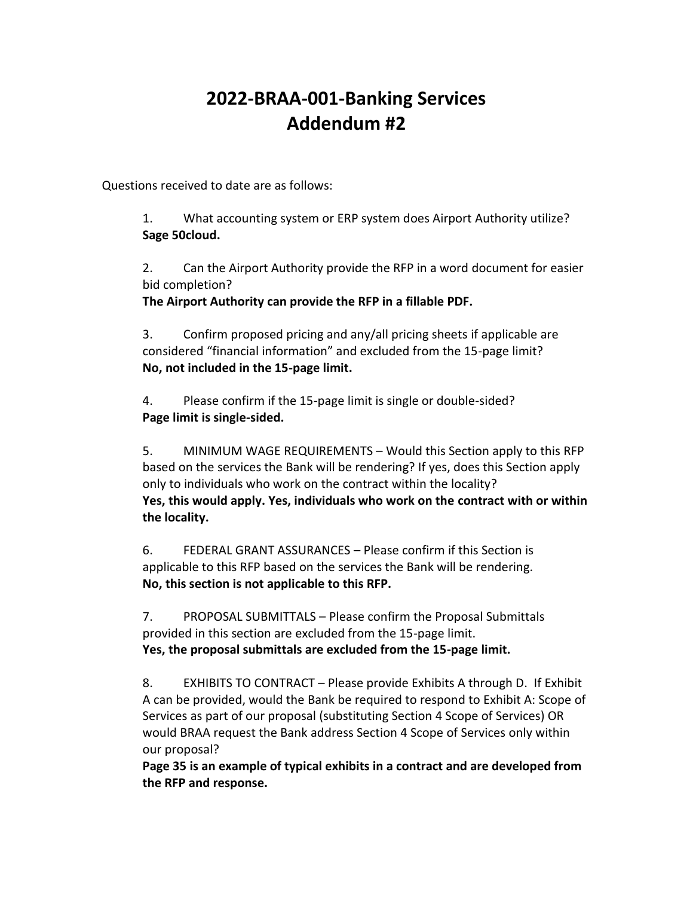## **2022-BRAA-001-Banking Services Addendum #2**

Questions received to date are as follows:

1. What accounting system or ERP system does Airport Authority utilize? **Sage 50cloud.**

2. Can the Airport Authority provide the RFP in a word document for easier bid completion?

**The Airport Authority can provide the RFP in a fillable PDF.** 

3. Confirm proposed pricing and any/all pricing sheets if applicable are considered "financial information" and excluded from the 15-page limit? **No, not included in the 15-page limit.** 

4. Please confirm if the 15-page limit is single or double-sided? **Page limit is single-sided.**

5. MINIMUM WAGE REQUIREMENTS – Would this Section apply to this RFP based on the services the Bank will be rendering? If yes, does this Section apply only to individuals who work on the contract within the locality? **Yes, this would apply. Yes, individuals who work on the contract with or within the locality.** 

6. FEDERAL GRANT ASSURANCES – Please confirm if this Section is applicable to this RFP based on the services the Bank will be rendering. **No, this section is not applicable to this RFP.** 

7. PROPOSAL SUBMITTALS – Please confirm the Proposal Submittals provided in this section are excluded from the 15-page limit. **Yes, the proposal submittals are excluded from the 15-page limit.** 

8. EXHIBITS TO CONTRACT – Please provide Exhibits A through D. If Exhibit A can be provided, would the Bank be required to respond to Exhibit A: Scope of Services as part of our proposal (substituting Section 4 Scope of Services) OR would BRAA request the Bank address Section 4 Scope of Services only within our proposal?

**Page 35 is an example of typical exhibits in a contract and are developed from the RFP and response.**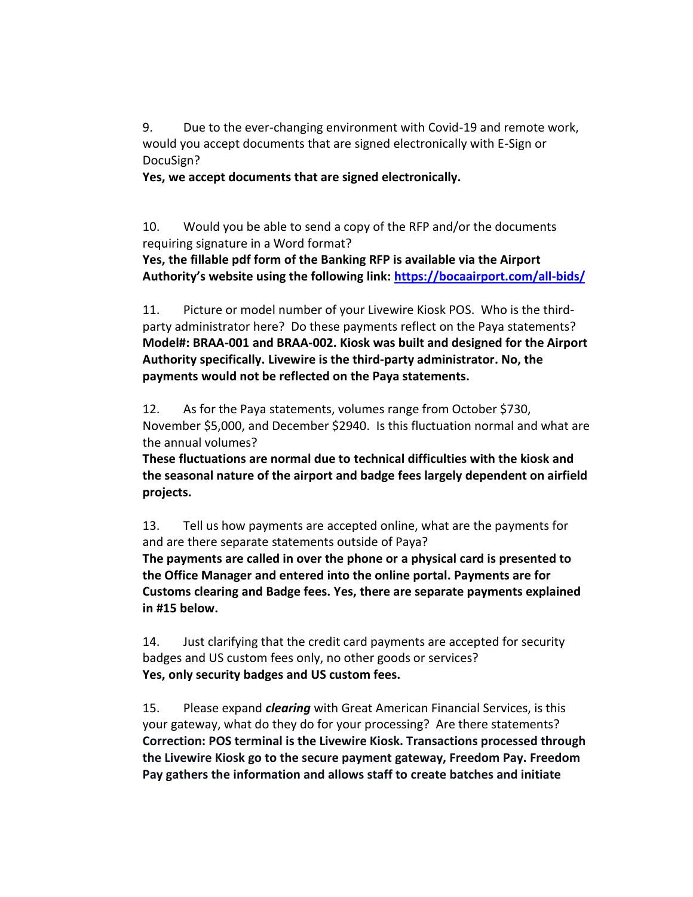9. Due to the ever-changing environment with Covid-19 and remote work, would you accept documents that are signed electronically with E-Sign or DocuSign?

**Yes, we accept documents that are signed electronically.** 

10. Would you be able to send a copy of the RFP and/or the documents requiring signature in a Word format?

**Yes, the fillable pdf form of the Banking RFP is available via the Airport Authority's website using the following link: <https://bocaairport.com/all-bids/>**

11. Picture or model number of your Livewire Kiosk POS. Who is the thirdparty administrator here? Do these payments reflect on the Paya statements? **Model#: BRAA-001 and BRAA-002. Kiosk was built and designed for the Airport Authority specifically. Livewire is the third-party administrator. No, the payments would not be reflected on the Paya statements.** 

12. As for the Paya statements, volumes range from October \$730, November \$5,000, and December \$2940. Is this fluctuation normal and what are the annual volumes?

**These fluctuations are normal due to technical difficulties with the kiosk and the seasonal nature of the airport and badge fees largely dependent on airfield projects.** 

13. Tell us how payments are accepted online, what are the payments for and are there separate statements outside of Paya?

**The payments are called in over the phone or a physical card is presented to the Office Manager and entered into the online portal. Payments are for Customs clearing and Badge fees. Yes, there are separate payments explained in #15 below.** 

14. Just clarifying that the credit card payments are accepted for security badges and US custom fees only, no other goods or services? **Yes, only security badges and US custom fees.** 

15. Please expand *clearing* with Great American Financial Services, is this your gateway, what do they do for your processing? Are there statements? **Correction: POS terminal is the Livewire Kiosk. Transactions processed through the Livewire Kiosk go to the secure payment gateway, Freedom Pay. Freedom Pay gathers the information and allows staff to create batches and initiate**